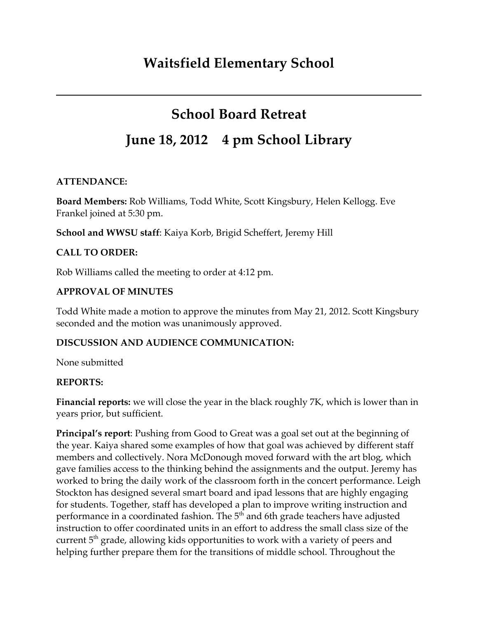# **School Board Retreat**

# **June 18, 2012 4 pm School Library**

### **ATTENDANCE:**

**Board Members:** Rob Williams, Todd White, Scott Kingsbury, Helen Kellogg. Eve Frankel joined at 5:30 pm.

**School and WWSU staff**: Kaiya Korb, Brigid Scheffert, Jeremy Hill

## **CALL TO ORDER:**

Rob Williams called the meeting to order at 4:12 pm.

## **APPROVAL OF MINUTES**

Todd White made a motion to approve the minutes from May 21, 2012. Scott Kingsbury seconded and the motion was unanimously approved.

## **DISCUSSION AND AUDIENCE COMMUNICATION:**

None submitted

## **REPORTS:**

**Financial reports:** we will close the year in the black roughly 7K, which is lower than in years prior, but sufficient.

**Principal's report**: Pushing from Good to Great was a goal set out at the beginning of the year. Kaiya shared some examples of how that goal was achieved by different staff members and collectively. Nora McDonough moved forward with the art blog, which gave families access to the thinking behind the assignments and the output. Jeremy has worked to bring the daily work of the classroom forth in the concert performance. Leigh Stockton has designed several smart board and ipad lessons that are highly engaging for students. Together, staff has developed a plan to improve writing instruction and performance in a coordinated fashion. The 5<sup>th</sup> and 6th grade teachers have adjusted instruction to offer coordinated units in an effort to address the small class size of the current 5<sup>th</sup> grade, allowing kids opportunities to work with a variety of peers and helping further prepare them for the transitions of middle school. Throughout the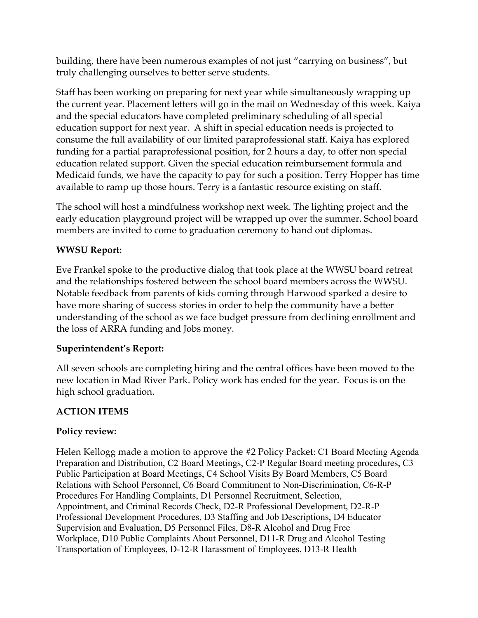building, there have been numerous examples of not just "carrying on business", but truly challenging ourselves to better serve students.

Staff has been working on preparing for next year while simultaneously wrapping up the current year. Placement letters will go in the mail on Wednesday of this week. Kaiya and the special educators have completed preliminary scheduling of all special education support for next year. A shift in special education needs is projected to consume the full availability of our limited paraprofessional staff. Kaiya has explored funding for a partial paraprofessional position, for 2 hours a day, to offer non special education related support. Given the special education reimbursement formula and Medicaid funds, we have the capacity to pay for such a position. Terry Hopper has time available to ramp up those hours. Terry is a fantastic resource existing on staff.

The school will host a mindfulness workshop next week. The lighting project and the early education playground project will be wrapped up over the summer. School board members are invited to come to graduation ceremony to hand out diplomas.

#### **WWSU Report:**

Eve Frankel spoke to the productive dialog that took place at the WWSU board retreat and the relationships fostered between the school board members across the WWSU. Notable feedback from parents of kids coming through Harwood sparked a desire to have more sharing of success stories in order to help the community have a better understanding of the school as we face budget pressure from declining enrollment and the loss of ARRA funding and Jobs money.

#### **Superintendent's Report:**

All seven schools are completing hiring and the central offices have been moved to the new location in Mad River Park. Policy work has ended for the year. Focus is on the high school graduation.

### **ACTION ITEMS**

#### **Policy review:**

Helen Kellogg made a motion to approve the #2 Policy Packet: C1 Board Meeting Agenda Preparation and Distribution, C2 Board Meetings, C2-P Regular Board meeting procedures, C3 Public Participation at Board Meetings, C4 School Visits By Board Members, C5 Board Relations with School Personnel, C6 Board Commitment to Non-Discrimination, C6-R-P Procedures For Handling Complaints, D1 Personnel Recruitment, Selection, Appointment, and Criminal Records Check, D2-R Professional Development, D2-R-P Professional Development Procedures, D3 Staffing and Job Descriptions, D4 Educator Supervision and Evaluation, D5 Personnel Files, D8-R Alcohol and Drug Free Workplace, D10 Public Complaints About Personnel, D11-R Drug and Alcohol Testing Transportation of Employees, D-12-R Harassment of Employees, D13-R Health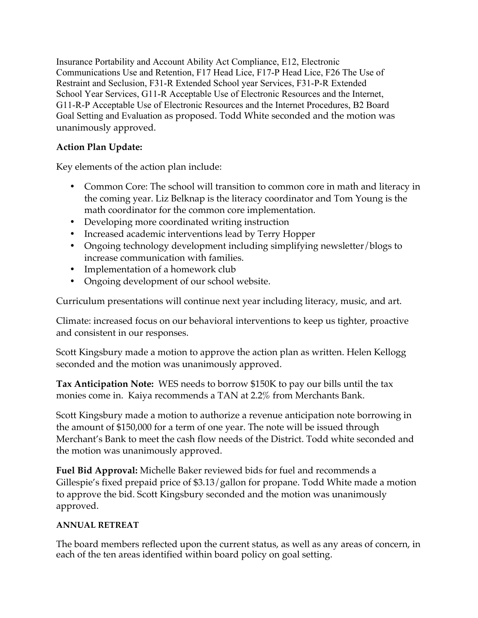Insurance Portability and Account Ability Act Compliance, E12, Electronic Communications Use and Retention, F17 Head Lice, F17-P Head Lice, F26 The Use of Restraint and Seclusion, F31-R Extended School year Services, F31-P-R Extended School Year Services, G11-R Acceptable Use of Electronic Resources and the Internet, G11-R-P Acceptable Use of Electronic Resources and the Internet Procedures, B2 Board Goal Setting and Evaluation as proposed. Todd White seconded and the motion was unanimously approved.

## **Action Plan Update:**

Key elements of the action plan include:

- Common Core: The school will transition to common core in math and literacy in the coming year. Liz Belknap is the literacy coordinator and Tom Young is the math coordinator for the common core implementation.
- Developing more coordinated writing instruction
- Increased academic interventions lead by Terry Hopper
- Ongoing technology development including simplifying newsletter/blogs to increase communication with families.
- Implementation of a homework club
- Ongoing development of our school website.

Curriculum presentations will continue next year including literacy, music, and art.

Climate: increased focus on our behavioral interventions to keep us tighter, proactive and consistent in our responses.

Scott Kingsbury made a motion to approve the action plan as written. Helen Kellogg seconded and the motion was unanimously approved.

**Tax Anticipation Note:** WES needs to borrow \$150K to pay our bills until the tax monies come in. Kaiya recommends a TAN at 2.2% from Merchants Bank.

Scott Kingsbury made a motion to authorize a revenue anticipation note borrowing in the amount of \$150,000 for a term of one year. The note will be issued through Merchant's Bank to meet the cash flow needs of the District. Todd white seconded and the motion was unanimously approved.

**Fuel Bid Approval:** Michelle Baker reviewed bids for fuel and recommends a Gillespie's fixed prepaid price of \$3.13/gallon for propane. Todd White made a motion to approve the bid. Scott Kingsbury seconded and the motion was unanimously approved.

## **ANNUAL RETREAT**

The board members reflected upon the current status, as well as any areas of concern, in each of the ten areas identified within board policy on goal setting.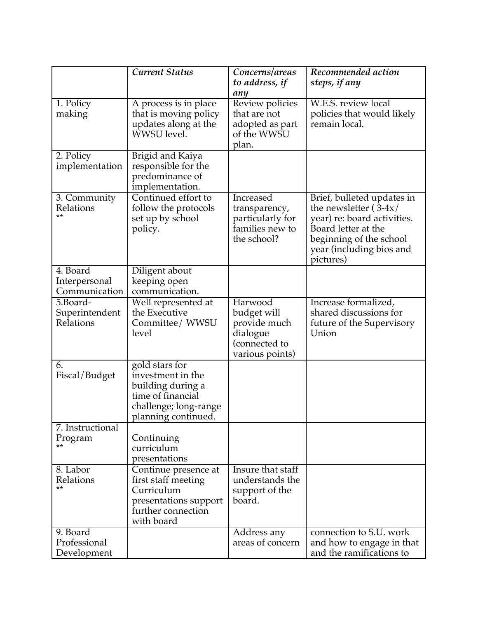|                            | <b>Current Status</b>                       | Concerns/areas                      | Recommended action                                                |
|----------------------------|---------------------------------------------|-------------------------------------|-------------------------------------------------------------------|
|                            |                                             | to address, if                      | steps, if any                                                     |
|                            |                                             | any                                 |                                                                   |
| 1. Policy                  | A process is in place                       | Review policies                     | W.E.S. review local                                               |
| making                     | that is moving policy                       | that are not                        | policies that would likely<br>remain local.                       |
|                            | updates along at the<br>WWSU level.         | adopted as part<br>of the WWSU      |                                                                   |
|                            |                                             | plan.                               |                                                                   |
| 2. Policy                  | Brigid and Kaiya                            |                                     |                                                                   |
| implementation             | responsible for the                         |                                     |                                                                   |
|                            | predominance of                             |                                     |                                                                   |
|                            | implementation.                             |                                     |                                                                   |
| 3. Community               | Continued effort to                         | Increased                           | Brief, bulleted updates in                                        |
| Relations<br>**            | follow the protocols                        | transparency,                       | the newsletter $(\overline{3}-4x)$<br>year) re: board activities. |
|                            | set up by school<br>policy.                 | particularly for<br>families new to | Board letter at the                                               |
|                            |                                             | the school?                         | beginning of the school                                           |
|                            |                                             |                                     | year (including bios and                                          |
|                            |                                             |                                     | pictures)                                                         |
| 4. Board                   | Diligent about                              |                                     |                                                                   |
| Interpersonal              | keeping open                                |                                     |                                                                   |
| Communication              | communication.                              |                                     |                                                                   |
| 5.Board-<br>Superintendent | Well represented at<br>the Executive        | Harwood<br>budget will              | Increase formalized,<br>shared discussions for                    |
| Relations                  | Committee/ WWSU                             | provide much                        | future of the Supervisory                                         |
|                            | level                                       | dialogue                            | Union                                                             |
|                            |                                             | (connected to                       |                                                                   |
|                            |                                             | various points)                     |                                                                   |
| 6.                         | gold stars for                              |                                     |                                                                   |
| Fiscal/Budget              | investment in the                           |                                     |                                                                   |
|                            | building during a<br>time of financial      |                                     |                                                                   |
|                            | challenge; long-range                       |                                     |                                                                   |
|                            | planning continued.                         |                                     |                                                                   |
| 7. Instructional           |                                             |                                     |                                                                   |
| Program                    | Continuing                                  |                                     |                                                                   |
|                            | curriculum                                  |                                     |                                                                   |
|                            | presentations                               | Insure that staff                   |                                                                   |
| 8. Labor<br>Relations      | Continue presence at<br>first staff meeting | understands the                     |                                                                   |
| **                         | Curriculum                                  | support of the                      |                                                                   |
|                            | presentations support                       | board.                              |                                                                   |
|                            | further connection                          |                                     |                                                                   |
|                            | with board                                  |                                     |                                                                   |
| 9. Board                   |                                             | Address any                         | connection to S.U. work                                           |
| Professional               |                                             | areas of concern                    | and how to engage in that                                         |
| Development                |                                             |                                     | and the ramifications to                                          |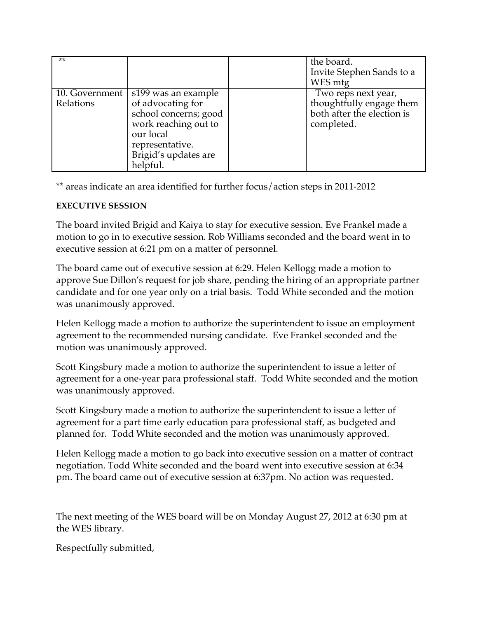| $***$     |                                                                                                                                                                                | the board.<br>Invite Stephen Sands to a<br>WES mtg                                          |
|-----------|--------------------------------------------------------------------------------------------------------------------------------------------------------------------------------|---------------------------------------------------------------------------------------------|
| Relations | 10. Government   s199 was an example<br>of advocating for<br>school concerns; good<br>work reaching out to<br>our local<br>representative.<br>Brigid's updates are<br>helpful. | Two reps next year,<br>thoughtfully engage them<br>both after the election is<br>completed. |

\*\* areas indicate an area identified for further focus/action steps in 2011-2012

#### **EXECUTIVE SESSION**

The board invited Brigid and Kaiya to stay for executive session. Eve Frankel made a motion to go in to executive session. Rob Williams seconded and the board went in to executive session at 6:21 pm on a matter of personnel.

The board came out of executive session at 6:29. Helen Kellogg made a motion to approve Sue Dillon's request for job share, pending the hiring of an appropriate partner candidate and for one year only on a trial basis. Todd White seconded and the motion was unanimously approved.

Helen Kellogg made a motion to authorize the superintendent to issue an employment agreement to the recommended nursing candidate. Eve Frankel seconded and the motion was unanimously approved.

Scott Kingsbury made a motion to authorize the superintendent to issue a letter of agreement for a one-year para professional staff. Todd White seconded and the motion was unanimously approved.

Scott Kingsbury made a motion to authorize the superintendent to issue a letter of agreement for a part time early education para professional staff, as budgeted and planned for. Todd White seconded and the motion was unanimously approved.

Helen Kellogg made a motion to go back into executive session on a matter of contract negotiation. Todd White seconded and the board went into executive session at 6:34 pm. The board came out of executive session at 6:37pm. No action was requested.

The next meeting of the WES board will be on Monday August 27, 2012 at 6:30 pm at the WES library.

Respectfully submitted,